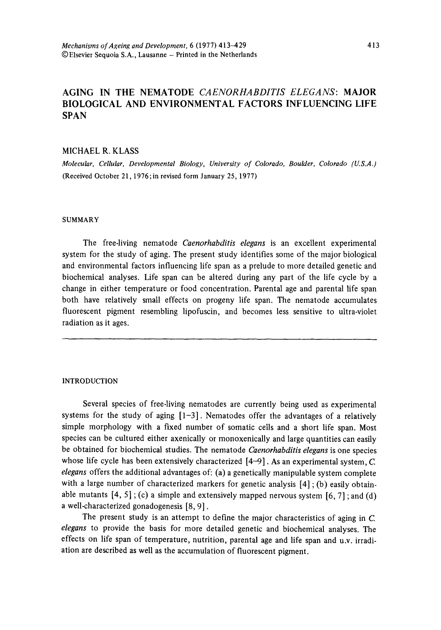### AGING IN THE NEMATODE *CAENORHABDITIS ELEGANS:* MAJOR BIOLOGICAL AND ENVIRONMENTAL FACTORS INFLUENCING LIFE SPAN

### MICHAEL R. KLASS

*Molecular, Cellular, Developmental Biology, University of Colorado, Boulder, Colorado (U.S.A.)* (Received October 21, 1976;in revised form January 25, 1977)

### **SUMMARY**

The free-living nematode *Caenorhabditis elegans* is an excellent experimental system for the study of aging. The present study identifies some of the major biological and environmental factors influencing life span as a prelude to more detailed genetic and biochemical analyses. Life span can be altered during any part of the life cycle by a change in either temperature or food concentration. Parental age and parental life span both have relatively small effects on progeny life span. The nematode accumulates fluorescent pigment resembling lipofuscin, and becomes less sensitive to ultra-violet radiation as it ages.

### **INTRODUCTION**

Several species of free-living nematodes are currently being used as experimental systems for the study of aging  $[1-3]$ . Nematodes offer the advantages of a relatively simple morphology with a fixed number of somatic cells and a short life span. Most species can be cultured either axenically or monoxenically and large quantities can easily be obtained for biochemical studies. The nematode *Caenorhabditis elegans* is one species whose life cycle has been extensively characterized  $[4-9]$ . As an experimental system, C. *elegans* offers the additional advantages of: (a) a genetically manipulable system complete with a large number of characterized markers for genetic analysis  $[4]$ ; (b) easily obtainable mutants  $[4, 5]$ ; (c) a simple and extensively mapped nervous system  $[6, 7]$ ; and (d) a well-characterized gonadogenesis [8, 9].

The present study is an attempt to define the major characteristics of aging in C. *elegans* to provide the basis for more detailed genetic and biochemical analyses. The effects on life span of temperature, nutrition, parental age and life span and u.v. irradiation are described as well as the accumulation of fluorescent pigment.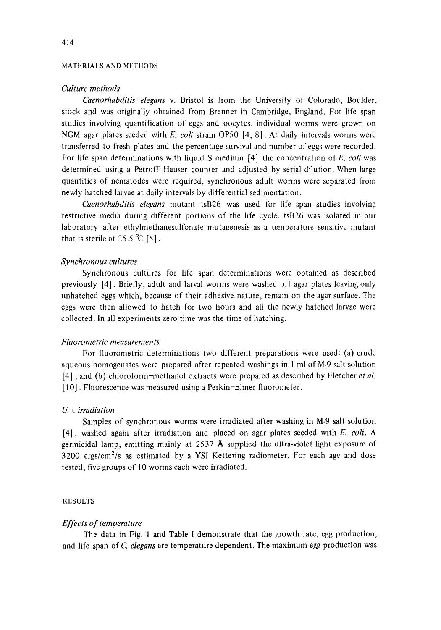### MATERIALS AND METHODS

### *Culture methods*

*Caenorhabditis elegans* v. Bristol is from the University of Colorado, Boulder, stock and was originally obtained from Brenner in Cambridge, England. For life span studies involving quantification of eggs and oocytes, individual worms were grown on NGM agar plates seeded with *E. eoli* strain OP50 [4, 8]. At daily intervals worms were transferred to fresh plates and the percentage survival and number of eggs were recorded. For life span determinations with liquid S medium [4] the concentration of *E. coli* was determined using a Petroff-Hauser counter and adjusted by serial dilution. When large quantities of nematodes were required, synchronous adult worms were separated from newly hatched larvae at daily intervals by differential sedimentation.

*Caenorhabditis elegans* mutant tsB26 was used for life span studies involving restrictive media during different portions of the life cycle, tsB26 was isolated in our laboratory after ethylmethanesulfonate mutagenesis as a temperature sensitive mutant that is sterile at 25.5  $\degree$ C [5].

### *Synchronous cultures*

Synchronous cultures for life span determinations were obtained as described previously [4]. Briefly, adult and larval worms were washed off agar plates leaving only unhatched eggs which, because of their adhesive nature, remain on the agar surface. The eggs were then allowed to hatch for two hours and all the newly hatched larvae were collected. In all experiments zero time was the time of hatching.

### *Fluorometric measurements*

For fluorometric determinations two different preparations were used: (a) crude aqueous homogenates were prepared after repeated washings in 1 ml of M-9 salt solution [4] ; and (b) chloroform-methanol extracts were prepared as described by Fletcher *et al.*  [ 10]. Fluorescence was measured using a Perkin-Elmer fluorometer.

### *U. v. irradiation*

Samples of synchronous worms were irradiated after washing in M-9 salt solution [4], washed again after irradiation and placed on agar plates seeded with *E. coli. A*  germicidal lamp, emitting mainly at 2537 A supplied the ultra-violet light exposure of  $3200$  ergs/cm<sup>2</sup>/s as estimated by a YSI Kettering radiometer. For each age and dose tested, five groups of 10 worms each were irradiated.

### RESULTS

### *Effects of temperature*

The data in Fig. 1 and Table I demonstrate that the growth rate, egg production, and life span of *C. elegans* are temperature dependent. The maximum egg production was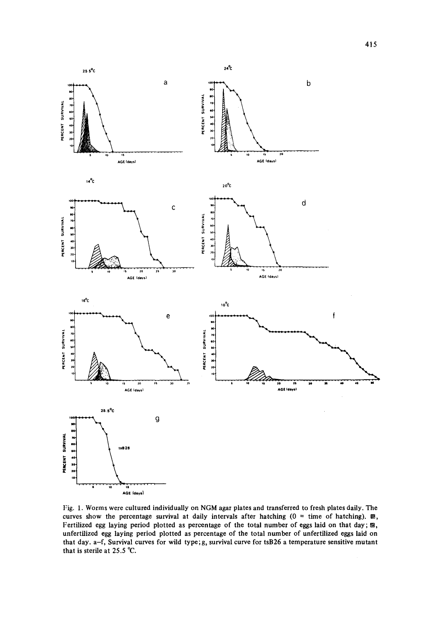

**Fig. 1. Worms were cultured individually on NGM agar plates and transferred to fresh plates daily. The**  curves show the percentage survival at daily intervals after hatching  $(0 = time of hatching)$ .  $\mathbb{Z}$ , Fertilized egg laying period plotted as percentage of the total number of eggs laid on that day;  $\mathfrak{B}$ , **unfertilized egg laying period plotted as percentage of the total number of unfertilized eggs laid on that day. a-f, Survival curves for wild type;g, survival curve for tsB26 a temperature sensitive mutant that is sterile at 25.5 °C.**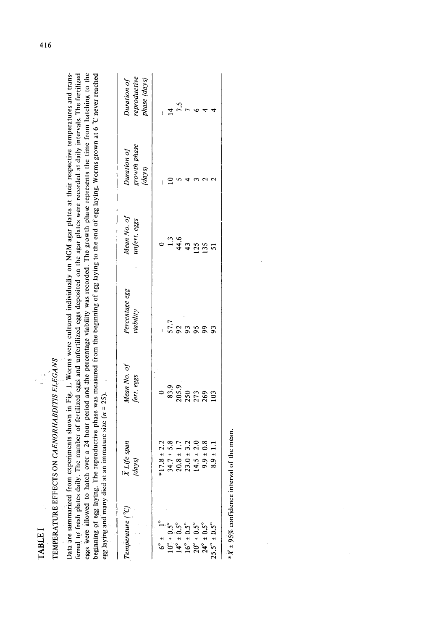| ۰<br>ı |  |
|--------|--|
|        |  |
|        |  |
| c<br>c |  |
|        |  |
|        |  |
|        |  |

### TEMPERATURE EFFECTS ON *CAENORHABDIT1S ELEG'ANS*  TEMPERATURE EFFECTS ON CAENORHABDITIS ELEGANS

 $\frac{1}{\sqrt{2}}$ 

erred to fresh plates daily. The number of fertilized eggs and unfertilized eggs deposited on the agar plates were recorded at daily intervals. The fertilized eggs were allowed to hatch over a 24 hour period and the percentage viability was recorded. The growth phase represents the time from hatching to the beginning of egg laying. The reproductive phase was measured from the be eggs were allowed to hatch over a 24 hour period and the percentage viability was recorded. The growth phase represents the time from hatching to the ferred to fresh plates daily. The number of fertilized eggs and unfertilized eggs deposited on the agar plates were recorded at daily intervals. The fertilized beginning of egg laying. The reproductive phase was measured from the beginning of egg laying to the end of egg laying. Worms grown at 6 °(7 never reached Data are summarized from experiments shown in Fig. 1. Worms were cultured individually on NGM agar plates at their respective temperatures and trans-Data are summarized from experiments shown in Fig. 1. Worms were cultured individually on NGM agar plates at their respective temperatures and transegg laying and many died at an immature size  $(n = 25)$ . egg laying and many died at an immature size  $(n = 25)$ .

| (Pemperature (°C                                                                                                                                                                                                                                                             | K Life span<br>(days)                                                                 | Mean No. of<br>fert. eggs                                                                                                             | Percentage egg<br>viability                             | Mean No. of<br>unfert. eggs       | Duration of<br>growth phase<br>(days) | Duration of<br>reproductive<br>phase (days) |
|------------------------------------------------------------------------------------------------------------------------------------------------------------------------------------------------------------------------------------------------------------------------------|---------------------------------------------------------------------------------------|---------------------------------------------------------------------------------------------------------------------------------------|---------------------------------------------------------|-----------------------------------|---------------------------------------|---------------------------------------------|
|                                                                                                                                                                                                                                                                              | $*17.8 \pm 2.2$                                                                       |                                                                                                                                       |                                                         |                                   |                                       |                                             |
| $6^{\circ}$ $\pm$ 0.3 <sup>o</sup><br>$10^{\circ}$ $\pm$ 0.5 <sup>o</sup><br>$14^{\circ}$ $\pm$ 0.5 <sup>o</sup><br>$16^{\circ}$ $\pm$ 0.5 <sup>o</sup><br>$16^{\circ}$ $\pm$ 0.5 <sup>o</sup><br>$20^{\circ}$ $\pm$ 0.5 <sup>o</sup><br>$24^{\circ}$ $\pm$ 0.5 <sup>o</sup> | $34.7 \pm 5.8$<br>$20.8 \pm 1.7$<br>$23.0 \pm 3.2$<br>$14.5 \pm 2.0$<br>$9.9 \pm 0.8$ | $\begin{smallmatrix} 0 & 0 \ 0.3 & 0.9 \ 0.05 & 0.9 \ 0.05 & 0.71 & 0.89 \ 0.07 & 0.71 & 0.89 \ 0.07 & 0.07 & 0.01 \end{smallmatrix}$ |                                                         | $1.3$<br>$44.6$<br>$125$<br>$135$ |                                       | 4                                           |
|                                                                                                                                                                                                                                                                              |                                                                                       |                                                                                                                                       | $\frac{7}{5}$ $\frac{2}{3}$ $\frac{8}{3}$ $\frac{8}{3}$ |                                   |                                       |                                             |
|                                                                                                                                                                                                                                                                              |                                                                                       |                                                                                                                                       |                                                         |                                   |                                       |                                             |
|                                                                                                                                                                                                                                                                              |                                                                                       |                                                                                                                                       |                                                         |                                   |                                       |                                             |
|                                                                                                                                                                                                                                                                              |                                                                                       |                                                                                                                                       |                                                         |                                   |                                       |                                             |
| $25.5^{\circ} \pm 0.5^{\circ}$                                                                                                                                                                                                                                               | $-9 + 1.$                                                                             |                                                                                                                                       | 93                                                      |                                   |                                       |                                             |

 $X \pm 95\%$  confidence interval of the mean.  $*\overline{X} \pm 95\%$  confidence interval of the mean.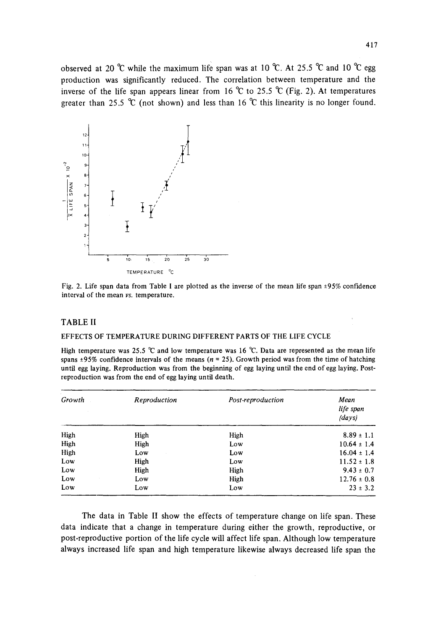observed at 20 °C while the maximum life span was at 10 °C. At 25.5 °C and 10 °C egg production was significantly reduced. The correlation between temperature and the inverse of the life span appears linear from 16  $\degree$ C to 25.5  $\degree$ C (Fig. 2). At temperatures greater than 25.5 °C (not shown) and less than 16 °C this linearity is no longer found.





### TABLE II

### EFFECTS OF TEMPERATURE DURING DIFFERENT PARTS OF THE LIFE CYCLE

High temperature was 25.5  $\degree$ C and low temperature was 16  $\degree$ C. Data are represented as the mean life spans  $\pm 95\%$  confidence intervals of the means ( $n = 25$ ). Growth period was from the time of hatching until egg laying. Reproduction was from the beginning of egg laying until the end of egg laying. Postreproduction was from the end of egg laying until death.

| Growth | Reproduction | Post-reproduction | Mean<br>life span<br>(days) |
|--------|--------------|-------------------|-----------------------------|
| High   | High         | High              | $8.89 \pm 1.1$              |
| High   | High         | Low               | $10.64 \pm 1.4$             |
| High   | Low          | Low               | $16.04 \pm 1.4$             |
| Low    | High         | Low               | $11.52 \pm 1.8$             |
| Low    | High         | High              | $9.43 \pm 0.7$              |
| Low    | Low          | High              | $12.76 \pm 0.8$             |
| Low    | Low          | Low               | $23 \pm 3.2$                |

The data in Table II show the effects of temperature change on life span. These data indicate that a change in temperature during either the growth, reproductive, or post-reproductive portion of the life cycle will affect life span. Although low temperature always increased life span and high temperature likewise always decreased life span the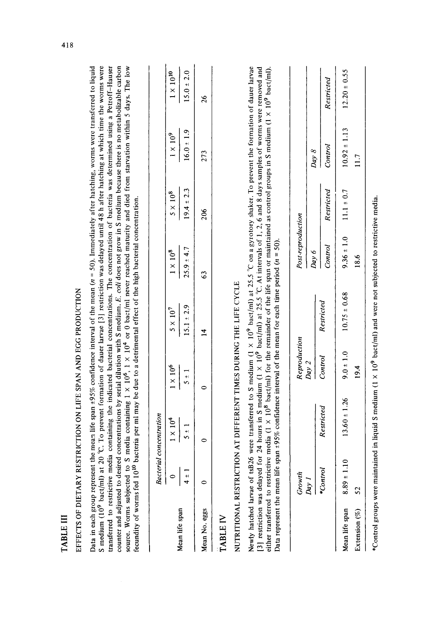|          |     | $\overline{41}$ |            |  |
|----------|-----|-----------------|------------|--|
|          |     |                 |            |  |
|          |     |                 |            |  |
|          |     |                 |            |  |
|          |     |                 |            |  |
|          |     |                 |            |  |
|          |     |                 |            |  |
|          |     |                 |            |  |
|          |     |                 |            |  |
|          |     |                 |            |  |
|          |     |                 |            |  |
|          |     |                 |            |  |
|          |     |                 |            |  |
|          |     |                 |            |  |
|          |     |                 |            |  |
|          |     |                 |            |  |
|          |     |                 |            |  |
|          |     |                 |            |  |
|          |     |                 |            |  |
|          |     |                 |            |  |
|          |     |                 |            |  |
|          |     |                 |            |  |
|          |     |                 |            |  |
|          |     |                 |            |  |
|          |     |                 |            |  |
|          |     |                 |            |  |
|          |     |                 |            |  |
|          |     |                 |            |  |
|          |     |                 |            |  |
|          |     |                 |            |  |
|          |     |                 |            |  |
|          |     |                 |            |  |
|          |     |                 |            |  |
|          |     |                 |            |  |
|          |     |                 |            |  |
|          |     |                 |            |  |
|          |     |                 |            |  |
|          |     |                 |            |  |
|          |     |                 |            |  |
|          |     |                 |            |  |
|          |     |                 |            |  |
|          |     |                 |            |  |
|          |     |                 |            |  |
|          |     |                 |            |  |
|          |     |                 | $\vdots$   |  |
| 医异体 医血管炎 |     |                 | ֠          |  |
|          | ֚֠֕ |                 | ֕<br>ׇ֚֕֡֡ |  |
| Í        |     |                 | ֕          |  |

# EFFECTS OF DIETARY RESTRICTION ON LIFE SPAN AND EGG PRODUCTION EFFECTS OF DIETARY RESTRICTION ON LIFE SPAN AND EGG PRODUCTION

S medium (10<sup>9</sup> bact/ml) at 20 °C. To prevent formation of dauer larvae [3] restriction was delayed until 48 h after hatching at which time the worms were ransferred to restrictive media containing the indicated bacterial concentrations. The concentration of bacteria was determined using a Petroff-Hauser counter and adjusted to desired concentrations by serial dilution with S medium. *E. coli* does not grow in S medium because there is no metabolizable carbon ource. Worms subjected to S media containing  $1 \times 10^9$ ,  $1 \times 10^9$  or 0 bact/ml never reached maturity and died from starvation within 5 days. The low Data in each group represent the mean life span  $\pm 95\%$  confidence interval of the mean (n = 50). Immediately after hatching, worms were transferred to liquid S medium (10<sup>9</sup> bact/ml) at 20 °C. To prevent formation of dauer larvae [3] restriction was delayed until 48 h after hatching at which time the worms were transferred to restrictive media containing the indicated bacterial concentrations. The concentration of bacteria was determined using a Petroff-Hauser source. Worms subjected to S media containing 1 × 10<sup>6</sup>, 1 × 10<sup>4</sup> or 0 bact/ml never reached maturity and died from starvation within 5 days. The low Data in each group represent the mean life span ±95% confidence interval of the mean ( $n = 50$ ). Immediately after hatching, worms were transferred to liquid counter and adjusted to desired concentrations by serial dilution with S medium. E. coli does not grow in S medium because there is no metabolizable carbon fecundity of worms fed 101° bacteria per ml may be due to a detrimental effect of the high bacterial concentration.  $\frac{1}{2}$  councility of worms fed 10<sup>10</sup> bacteria per ml may be due to a detrimental effect of the high bacterial concentration.

|                | Bacterial | oncentration              |                                 |                                      |                                      |                                      |                                      |                                         |
|----------------|-----------|---------------------------|---------------------------------|--------------------------------------|--------------------------------------|--------------------------------------|--------------------------------------|-----------------------------------------|
|                |           | $\frac{1 \times 10^4}{ }$ | $\frac{1 \times 10^6}{5 \pm 1}$ | $\frac{5 \times 10^7}{15.1 \pm 2.9}$ | $\frac{1 \times 10^8}{25.9 \pm 4.7}$ | $\frac{5 \times 10^8}{19.4 \pm 2.3}$ |                                      | $\frac{1 \times 10^{10}}{15.0 \pm 2.0}$ |
| Mean life span | <br>+     | $5 \pm 1$                 |                                 |                                      |                                      |                                      | $\frac{1 \times 10^9}{16.0 \pm 1.9}$ |                                         |
| Mean No. eggs  |           |                           |                                 | 4                                    | S3                                   | 206                                  | 273                                  | $\frac{26}{2}$                          |
|                |           |                           |                                 |                                      |                                      |                                      |                                      |                                         |

### TABLE IV **TABLE IV**

# NUTRITIONAL RESTRICTION AT DIFFERENT TIMES DURING THE LIFE CYCLE NUTRITIONAL RESTRICTION AT DIFFERENT TIMES DURING THE LIFE CYCLE

Newly hatched larvae of tsB26 were transferred to S medium (1 X 109 bact/ml) at 25.5 ~C on a gyrotory shaker. To prevent the formation of dauer larvae 3] restriction was delayed for 24 hours in S medium (1 × 10<sup>9</sup> bact/ml) at 25.5 °C. At intervals of 1, 2, 6 and 8 days samples of worms were removed and either transferred to restrictive media (1 X 10° bact/ml) for the remainder of the life span or maintained as control groups in S medium (1 X 10° bact/ml). Newly hatched larvae of tsB26 were transferred to S medium  $(1 \times 10^9 \text{ part/m})$  at 25.5 °C on a gyrotory shaker. To prevent the formation of dauer larvae [3] restriction was delayed for 24 hours in S medium  $(1 \times 10^9 \text{ part/m})$ either transferred to restrictive media (1  $\times$  10<sup>8</sup> bact/ml) for the remainder of the life span or maintained as control groups in S medium (1  $\times$  10<sup>9</sup> bact/ml). ) at represent the mean life span +95% confidence interval of the mean for each time period ( $n = 50$ ). Data represent the mean life span  $\pm 95\%$  confidence interval of the mean for each time period ( $n = 50$ ).

|                    | Growth<br>Day 1 |                  | Reproduction<br>Day 2 |                  | Post-reproduction |                              |                  |                  |
|--------------------|-----------------|------------------|-----------------------|------------------|-------------------|------------------------------|------------------|------------------|
|                    |                 |                  |                       |                  | Day 6             |                              | $Day \; 8$       |                  |
|                    |                 |                  |                       |                  |                   |                              |                  |                  |
|                    | *Control        | Restricted       | Control               | Restricted       |                   | Control Restricted           | Control          | Restricted       |
| Mean life span     | $8.89 \pm 1.10$ | $13.60 \pm 1.26$ | $9.0 \pm 1.0$         | $10.75 \pm 0.68$ |                   | $9.36 \pm 1.0$ 1.1 $\pm 0.7$ | $10.92 \pm 1.13$ | $12.20 \pm 0.55$ |
| Extension $(%)$ 52 |                 |                  | 19.4                  |                  | 18.6              |                              | 11.7             |                  |
|                    |                 |                  |                       |                  |                   |                              |                  |                  |

\*Control groups were maintained in liquid S medium (1 X 109 bact/ml) and were not subjected to restrictive media. \*Control groups were maintained in liquid S medium (1 x 10<sup>9</sup> bact/ml) and were not subjected to restrictive media.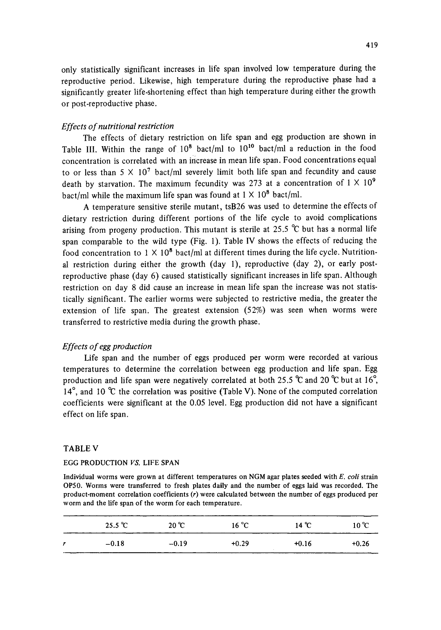only statistically significant increases in life span involved low temperature during the reproductive period. Likewise, high temperature during the reproductive phase had a significantly greater life-shortening effect than high temperature during either the growth or post-reproductive phase.

### *Effects of nutritional restriction*

The effects of dietary restriction on life span and egg production are shown in Table III. Within the range of  $10^8$  bact/ml to  $10^{10}$  bact/ml a reduction in the food concentration is correlated with an increase in mean life span. Food concentrations equal to or less than  $5 \times 10^7$  bact/ml severely limit both life span and fecundity and cause death by starvation. The maximum fecundity was 273 at a concentration of  $1 \times 10^9$ bact/ml while the maximum life span was found at  $1 \times 10^8$  bact/ml.

A temperature sensitive sterile mutant, tsB26 was used to determine the effects of dietary restriction during different portions of the life cycle to avoid complications arising from progeny production. This mutant is sterile at  $25.5$  °C but has a normal life span comparable to the wild type (Fig. 1). Table IV shows the effects of reducing the food concentration to 1  $\times$  10<sup>8</sup> bact/ml at different times during the life cycle. Nutritional restriction during either the growth (day 1), reproductive (day 2), or early postreproductive phase (day 6) caused statistically significant increases in life span. Although restriction on day 8 did cause an increase in mean life span the increase was not statistically significant. The earlier worms were subjected to restrictive media, the greater the extension of life span. The greatest extension (52%) was seen when worms were transferred to restrictive media during the growth phase.

### *Effects of egg production*

Life span and the number of eggs produced per worm were recorded at various temperatures to determine the correlation between egg production and life span. Egg production and life span were negatively correlated at both 25.5  $\degree$ C and 20  $\degree$ C but at 16 $\degree$ , 14 $\degree$ , and 10  $\degree$ C the correlation was positive (Table V). None of the computed correlation coefficients were significant at the 0.05 level. Egg production did not have a significant effect on life span.

### TABLE V

### EGG PRODUCTION *VS.* LIFE SPAN

Individual worms were grown at different temperatures on NGM agar plates seeded with *E. coli* strain OP50. Worms were transferred to fresh plates daily and the number of eggs laid was recorded. The product-moment correlation coefficients (r) were calculated between the number of eggs produced per worm and the life span of the worm for each temperature.

|   | --------<br>$25.5^{\circ}$ C | $20^{\circ}C$ | $16^{\circ}$ C | 14 °C   | $10^{\circ}C$ |
|---|------------------------------|---------------|----------------|---------|---------------|
| r | $-0.18$                      | $-0.19$       | $+0.29$        | $+0.16$ | $+0.26$       |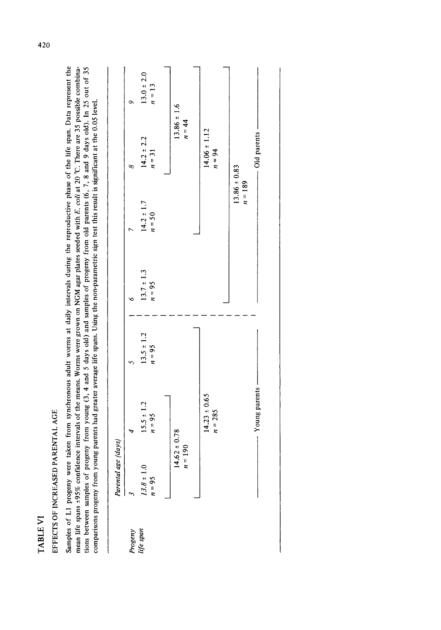| ω  |
|----|
|    |
| ≃  |
| J. |
| ٢  |
|    |

### EFFECTS OF INCREASED PARENTAL AGE EFFECTS OF INCREASED PARENTAL AGE

Samples of L1 progeny were taken from synchronous adult worms at daily intervals during the reproductive phase of the life span. Data represent the tions between samples of progeny from young (3, 4 and 5 days old) and samples of progeny from old parents (6, 7, 8 and 9 days old). In 25 out of 35 Samples of L1 progeny were taken from synchronous adult worms at daily intervals during the reproductive phase of the life span. Data represent the mean life spans ±95% confidence intervals of the means. Worms were grown on NGM agar plates seeded with E. coli at 20 °C. There are 35 possible combinations between samples of progeny from young  $(3, 4$  and 5 days old) and samples of progeny from old parents  $(6, 7, 8$  and 9 days old). In 25 out of 35 comparisons progeny from young parents had greater average life spans mean life spans +95% confidence intervals of the means. Worms were grown on NGM agar plates seeded with *E. eoli* at 20 °C. There are 35 possible combinacomparisons progeny from young parents had greater average life spans. Using the non-parametric sign test this result is significant at the 0.05 level.

|                     | Parental age               | days                          |                            |                            |                               |                              |                          |
|---------------------|----------------------------|-------------------------------|----------------------------|----------------------------|-------------------------------|------------------------------|--------------------------|
|                     |                            |                               |                            |                            |                               | ∞                            | ∾                        |
| Progeny<br>ife span | $13.8 \pm 1.0$<br>$n = 95$ | $15.5 \pm 1.2$<br>$n = 95$    | $13.5 \pm 1.2$<br>$n = 95$ | $13.7 \pm 1.3$<br>$n = 95$ | $14.2 \pm 1.7$<br>$n = 50$    | $14.2 \pm 2.2$<br>$n = 31$   | $13.0 \pm 2.0$<br>$n=13$ |
|                     |                            |                               |                            |                            |                               |                              |                          |
|                     | $n = 190$                  | $14.62 \pm 0.78$              |                            |                            |                               | $13.86 \pm 1.6$<br>$n = 44$  |                          |
|                     |                            |                               |                            |                            |                               |                              |                          |
|                     |                            | $14.23 \pm 0.65$<br>$n = 285$ |                            |                            |                               | $14.06 \pm 1.12$<br>$n = 94$ |                          |
|                     |                            |                               |                            |                            |                               |                              |                          |
|                     |                            |                               |                            |                            | $13.86 \pm 0.83$<br>$n = 189$ |                              |                          |
|                     |                            | Young parents -               |                            |                            |                               | - Old parents -              |                          |
|                     |                            |                               |                            |                            |                               |                              |                          |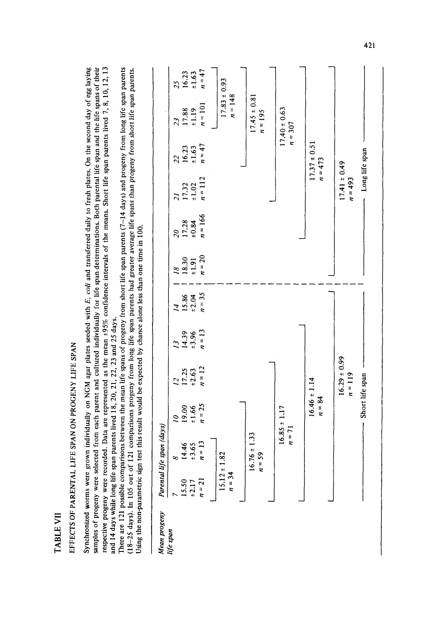| Ľ<br>t, |  |
|---------|--|
| ≃       |  |
| ۴       |  |

## EFFECTS OF PARENTAL LIFE SPAN ON PROGENY LIFE SPAN EFFECTS OF PARENTAL LIFE SPAN ON PROGENY LIFE SPAN

respective progeny were recorded. Data are represented as the mean  $+95\%$  confidence intervals of the means. Short life span parents lived 7, 8, 10, 12, 13 Synchronized worms were grown individually on NGM agar plates seeded with *E. coli* and transferred daily to fresh plates. On the second day of egg laying samples of progeny were selected from each parent and cultured individually for life span determinations. Both parental life span and the life spans of their respective progeny were recorded. Data are represented as the mean ±95% confidence intervals of the means. Short life span parents lived 7, 8, 10, 12, 13 Synchronized worms were grown individually on NGM agar plates seeded with E, coli and transferred daily to fresh plates. On the second day of egg laying samples of progeny were selected from each parent and cultured individually for life span determinations. Both parental life span and the life spans of their and 14 days while long life span parents lived 18, 20, 21, 22, 23 and 25 days. and 14 days while long life span parents lived  $18, 20, 21, 22, 23$  and  $25$  days.

There are 121 possible comparisons between the mean life spans of progeny from short life span parents (7-14 days) and progeny from long life span parents (18-25 days). In 105 out of 121 comparisons progeny from long life span parents had greater average life spans than progeny from short life span parents. There are 121 possible comparisons between the mean life spans of progeny from short life span parents  $(7-14 \text{ days})$  and progeny from long life span parents (18-25 days). In 105 out of 121 comparisons progeny from long life span parents had greater average life spans than progeny from short life span parents.<br>Using the non-parametric sign test this result would be expected by Using the non-parametric sign test this result would be expected by chance alone less than one time in 100.

|                             | span (days)<br>Parental life         |                                      |                     |                       |                                                                                  |                                  |                                  |                                  |                    |                    |                                                                  |
|-----------------------------|--------------------------------------|--------------------------------------|---------------------|-----------------------|----------------------------------------------------------------------------------|----------------------------------|----------------------------------|----------------------------------|--------------------|--------------------|------------------------------------------------------------------|
|                             |                                      | $\tilde{a}$                          | $\tilde{\omega}$    | $\tilde{\mathcal{L}}$ |                                                                                  |                                  |                                  |                                  |                    |                    |                                                                  |
| $15.50$<br>$± 2.17$         |                                      |                                      |                     |                       | $\begin{array}{c}\n 14 \\  \hline\n 15.86 \\  \pm 2.04 \\  n = 35\n \end{array}$ | $\frac{18}{18.30}$<br>$\pm 1.91$ | $\frac{20}{17.28}$<br>$\pm 0.84$ | $\frac{21}{17.32}$<br>$\pm 1.02$ | $\frac{22}{16.23}$ | $\frac{23}{17.88}$ |                                                                  |
|                             | $\frac{14.46}{\pm 3.65}$<br>$n = 13$ | $\frac{19.00}{\pm 1.66}$<br>$n = 25$ | $17.25$<br>$± 2.63$ | $14.39$<br>±3.96      |                                                                                  |                                  |                                  |                                  |                    |                    |                                                                  |
| $n = 21$                    |                                      |                                      | $n = 12$            | $n = 13$              |                                                                                  | $n=20$                           | $n = 166$                        | $n = 112$                        | $n = 47$           | $n = 101$          | $\begin{array}{c} 25 \\ 16.23 \\ \pm 1.63 \\ n = 47 \end{array}$ |
|                             |                                      |                                      |                     |                       |                                                                                  |                                  |                                  |                                  |                    |                    |                                                                  |
| $15.12 \pm 1.8$<br>$n = 34$ | $\overline{3}$                       |                                      |                     |                       |                                                                                  |                                  |                                  |                                  |                    | $17.83 \pm 0.93$   |                                                                  |
|                             |                                      |                                      |                     |                       |                                                                                  |                                  |                                  |                                  |                    | $n = 148$          |                                                                  |
|                             |                                      |                                      |                     |                       |                                                                                  |                                  |                                  |                                  |                    |                    |                                                                  |
|                             | $16.76 \pm 1.33$                     |                                      |                     |                       |                                                                                  |                                  |                                  |                                  |                    | $17.45 \pm 0.81$   |                                                                  |
|                             | $n = 59$                             |                                      |                     |                       |                                                                                  |                                  |                                  |                                  |                    | $n = 195$          |                                                                  |
|                             |                                      |                                      |                     |                       |                                                                                  |                                  |                                  |                                  |                    |                    |                                                                  |
|                             |                                      | $16.85 \pm 1.17$                     |                     |                       |                                                                                  |                                  |                                  |                                  |                    | $17.40 \pm 0.63$   |                                                                  |
|                             | $n = 71$                             |                                      |                     |                       |                                                                                  |                                  |                                  |                                  |                    | $n = 307$          |                                                                  |
|                             |                                      |                                      |                     |                       |                                                                                  |                                  |                                  |                                  |                    |                    |                                                                  |
|                             |                                      | $16.46 \pm 1.14$                     |                     |                       |                                                                                  |                                  |                                  |                                  | $17.37 \pm 0.51$   |                    |                                                                  |
|                             |                                      | $n = 84$                             |                     |                       |                                                                                  |                                  |                                  |                                  | $n = 473$          |                    |                                                                  |
|                             |                                      |                                      |                     |                       |                                                                                  |                                  |                                  |                                  |                    |                    |                                                                  |
|                             |                                      |                                      | $16.29 \pm 0.99$    |                       |                                                                                  |                                  |                                  | $17.41 \pm 0.49$                 |                    |                    |                                                                  |
|                             |                                      |                                      | $n = 119$           |                       |                                                                                  |                                  |                                  | $n = 493$                        |                    |                    |                                                                  |
|                             |                                      | Short life span                      |                     |                       |                                                                                  |                                  |                                  | Long life span                   |                    |                    |                                                                  |

**4~**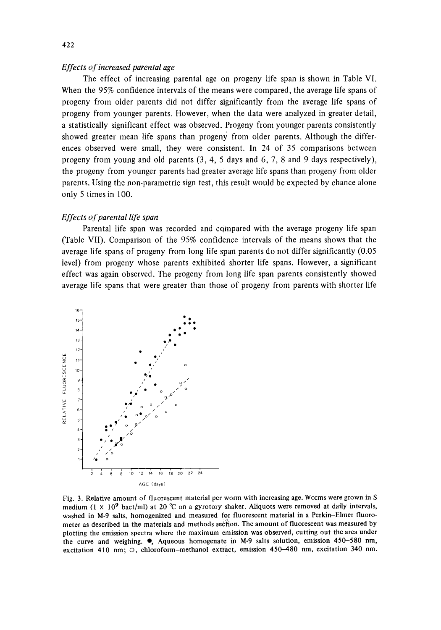### *Effects of increased paren tal age*

**The effect of increasing parental age on progeny life span is shown in Table VI. When the 95% confidence intervals of the means were compared, the average life spans of progeny from older parents did not differ significantly from the average life spans of progeny from younger parents. However, when the data were analyzed in greater detail, a statistically significant effect was observed. Progeny from younger parents consistently**  showed greater mean life spans than progeny from older parents. Although the differ**ences observed were small, they were consistent. In 24 of 35 comparisons between progeny from young and old parents (3, 4, 5 days and 6, 7, 8 and 9 days respectively), the progeny from younger parents had greater average life spans than progeny from older parents. Using the non-parametric sign test, this result would be expected by chance alone only 5 times in 100.** 

### *Effects of parental life span*

**Parental life span was recorded and compared with the average progeny life span (Table VII). Comparison of the 95% confidence intervals of the means shows that the average life spans of progeny from long life span parents do not differ significantly (0.05 level) from progeny whose parents exhibited shorter life spans. However, a significant effect was again observed. The progeny from long life span parents consistently showed average life spans that were greater than those of progeny from parents with shorter life** 



**Fig. 3. Relative amount of fluorescent material per worm with increasing age. Worms were grown in S**  medium (1  $\times$  10<sup>9</sup> bact/ml) at 20 °C on a gyrotory shaker. Aliquots were removed at daily intervals, **washed in M-9 salts, homogenized and measured for fluorescent material in a Perkin-Elmer fluorometer as described in the materials and methods section. The amount of fluorescent was measured by plotting the emission spectra where the maximum emission was observed, cutting out the area under the curve and weighing, e, Aqueous homogenate in M-9 salts solution, emission 450-580 nm, excitation 410 nm; O, chloroform-methanol extract, emission 450-480 nm, excitation 340 nm.**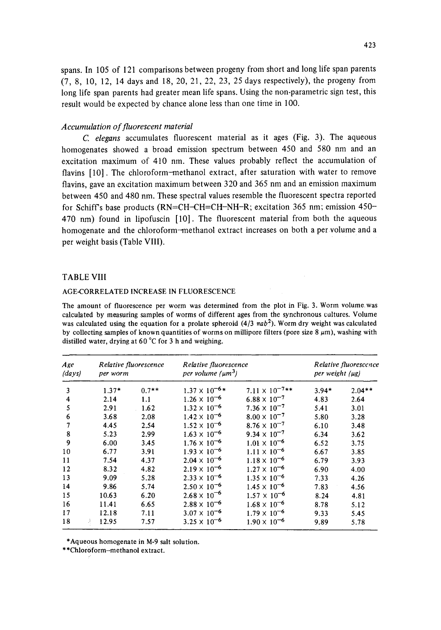spans. In 105 of 121 comparisons between progeny from short and long life span parents (7, 8, 10, 12, 14 days and 18, 20, 21, 22, 23, 25 days respectively), the progeny from long life span parents had greater mean life spans. Using the non-parametric sign test, this result would be expected by chance alone less than one time in 100.

### *Accumulation of fluorescent material*

*C. elegans* accumulates fluorescent material as it ages (Fig. 3). The aqueous homogenates showed a broad emission spectrum between 450 and 580 nm and an excitation maximum of 410 nm. These values probably reflect the accumulation of flavins [10]. The chloroform-methanol extract, after saturation with water to remove flavins, gave an excitation maximum between 320 and 365 nm and an emission maximum between 450 and 480 nm. These spectral values resemble the fluorescent spectra reported for Schiffs base products (RN=CH-CH=CH-NH-R; excitation 365 nm; emission 450- 470 nm) found in lipofuscin [10]. The fluorescent material from both the aqueous homogenate and the chloroform-methanol extract increases on both a per volume and a per weight basis (Table VIII).

### TABLE VIII

### AGE-CORRELATED INCREASE 1N FLUORESCENCE

The amount of fluorescence per worm was determined from the plot in Fig. 3. Worm volumewas calculated by measuring samples of worms of different ages from the synchronous cultures. Volume was calculated using the equation for a prolate spheroid  $(4/3 \pi a b^2)$ . Worm dry weight was calculated by collecting samples of known quantities of worms on millipore filters (pore size  $8 \mu m$ ), washing with distilled water, drying at 60  $^{\circ}$ C for 3 h and weighing.

| Age<br>$\langle$ <i>days</i> $\rangle$ | per worm    | Relative fluorescence | Relative fluorescence<br>per volume $(\mu m^3)$ |                         | per weight (µg) | Relative fluorescence |
|----------------------------------------|-------------|-----------------------|-------------------------------------------------|-------------------------|-----------------|-----------------------|
| 3                                      | $1.37*$     | $0.7**$               | $1.37 \times 10^{-6*}$                          | $7.11 \times 10^{-7**}$ | $3.94*$         | $2.04**$              |
| 4                                      | 2.14        | 1.1                   | $1.26 \times 10^{-6}$                           | $6.88 \times 10^{-7}$   | 4.83            | 2.64                  |
| 5                                      | 2.91        | 1.62                  | $1.32 \times 10^{-6}$                           | $7.36 \times 10^{-7}$   | 5.41            | 3.01                  |
| 6                                      | 3.68        | 2.08                  | $1.42 \times 10^{-6}$                           | $8.00 \times 10^{-7}$   | 5.80            | 3.28                  |
| 7                                      | 4.45        | 2.54                  | $1.52 \times 10^{-6}$                           | $8.76 \times 10^{-7}$   | 6.10            | 3.48                  |
| 8                                      | 5.23        | 2.99                  | $1.63 \times 10^{-6}$                           | $9.34 \times 10^{-7}$   | 6.34            | 3.62                  |
| 9                                      | 6.00        | 3.45                  | $1.76 \times 10^{-6}$                           | $1.01 \times 10^{-6}$   | 6.52            | 3.75                  |
| 10                                     | 6.77        | 3.91                  | $1.93 \times 10^{-6}$                           | $1.11 \times 10^{-6}$   | 6.67            | 3.85                  |
| 11                                     | 7.54        | 4.37                  | $2.04 \times 10^{-6}$                           | $1.18 \times 10^{-6}$   | 6.79            | 3.93                  |
| 12                                     | 8.32        | 4.82                  | $2.19 \times 10^{-6}$                           | $1.27 \times 10^{-6}$   | 6.90            | 4.00                  |
| 13                                     | 9.09        | 5.28                  | $2.33 \times 10^{-6}$                           | $1.35 \times 10^{-6}$   | 7.33            | 4.26                  |
| 14                                     | 9.86        | 5.74                  | $2.50 \times 10^{-6}$                           | $1.45 \times 10^{-6}$   | 7.83            | 4.56                  |
| 15                                     | 10.63       | 6.20                  | $2.68 \times 10^{-6}$                           | $1.57 \times 10^{-6}$   | 8.24            | 4.81                  |
| 16                                     | 11.41       | 6.65                  | $2.88 \times 10^{-6}$                           | $1.68 \times 10^{-6}$   | 8.78            | 5.12                  |
| 17                                     | 12.18       | 7.11                  | $3.07 \times 10^{-6}$                           | $1.79 \times 10^{-6}$   | 9.33            | 5.45                  |
| 18                                     | 12.95<br>å. | 7.57                  | $3.25 \times 10^{-6}$                           | $1.90 \times 10^{-6}$   | 9.89            | 5.78                  |

\*Aqueous homogenate in M-9 salt solution.

\*\*Chloroform-methanol extract.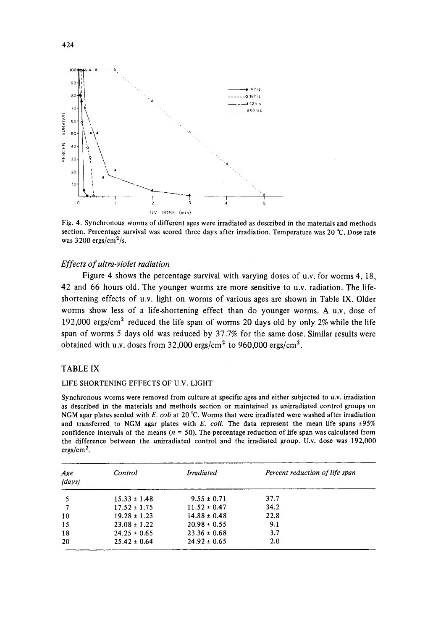

**Fig. 4. Synchronous worms of different ages were irradiated as described in the materials and methods section. Percentage survival was scored three days after irradiation. Temperature was 20 °C. Dose rate was 3200 ergs/cm2/s.** 

### *Effects of ultra-violet radiation*

**Figure 4 shows the percentage survival with varying doses of u.v. for worms 4, 18, 42 and 66 hours old. The younger worms are more sensitive to u.v. radiation. The lifeshortening effects of u.v. light on worms of various ages are shown in Table IX. Older worms show less of a life-shortening effect than do younger worms. A u.v. dose of 192,000 ergs/cm 2 reduced the life span of worms 20 days old by only 2% while the life span of worms 5 days old was reduced by 37.7% for the same dose. Similar results were obtained with u.v. doses from 32,000 ergs/cm 2 to 960,000 ergs/cm 2.** 

### **TABLE IX**

### **LIFE SHORTENING EFFECTS OF U.V. LIGHT**

**Synchronous worms were removed from culture at specific ages and either subjected to u.v. irradiation as described in the materials and methods section or maintained as unirradiated control groups on NGM agar plates seeded with** *E. coil* **at 20 °C. Worms that were irradiated were washed after irradiation**  and transferred to NGM agar plates with *E. coli.* The data represent the mean life spans  $\pm 95\%$ confidence intervals of the means ( $n = 50$ ). The percentage reduction of life span was calculated from **the difference between the unirradiated control and the irradiated group. U.v. dose was 192,000 ergs/cm 2.** 

| Age<br>(days) | Control          | <b>Irradiated</b> | Percent reduction of life span |
|---------------|------------------|-------------------|--------------------------------|
|               | $15.33 \pm 1.48$ | $9.55 \pm 0.71$   | 37.7                           |
|               | $17.52 \pm 1.75$ | $11.52 \pm 0.47$  | 34.2                           |
| 10            | $19.28 \pm 1.23$ | $14.88 \pm 0.48$  | 22.8                           |
| 15            | $23.08 \pm 1.22$ | $20.98 \pm 0.55$  | 9.1                            |
| 18            | $24.25 \pm 0.65$ | $23.36 \pm 0.68$  | 3.7                            |
| 20            | $25.42 \pm 0.64$ | $24.92 \pm 0.65$  | 2.0                            |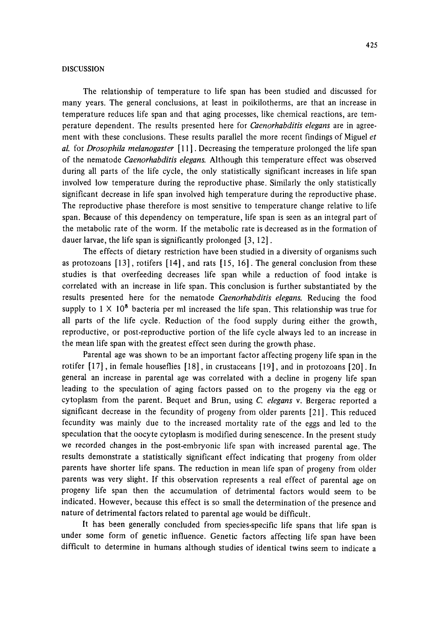### DISCUSSION

The relationship of temperature to life span has been studied and discussed for many years. The general conclusions, at least in poikilotherms, are that an increase in temperature reduces life span and that aging processes, like chemical reactions, are temperature dependent. The results presented here for *Caenorhabditis elegans* are in agreement with these conclusions. These results parallel the more recent findings of Miguel *et al.* for *Drosophila melanogaster* [ 11 ]. Decreasing the temperature prolonged the life span of the nematode *Caenorhabditis elegans.* Although this temperature effect was observed during all parts of the life cycle, the only statistically significant increases in life span involved low temperature during the reproductive phase. Similarly the only statistically significant decrease in life span involved high temperature during the reproductive phase. The reproductive phase therefore is most sensitive to temperature change relative to life span. Because of this dependency on temperature, life span is seen as an integral part of the metabolic rate of the worm. If the metabolic rate is decreased as in the formation of dauer larvae, the life span is significantly prolonged [3, 12].

The effects of dietary restriction have been studied in a diversity of organisms such as protozoans  $[13]$ , rotifers  $[14]$ , and rats  $[15, 16]$ . The general conclusion from these studies is that overfeeding decreases life span while a reduction of food intake is correlated with an increase in life span. This conclusion is further substantiated by the results presented here for the nematode *Caenorhabditis elegans.* Reducing the food supply to  $1 \times 10^8$  bacteria per ml increased the life span. This relationship was true for all parts of the life cycle. Reduction of the food supply during either the growth, reproductive, or post-reproductive portion of the life cycle always led to an increase in the mean life span with the greatest effect seen during the growth phase.

Parental age was shown to be an important factor affecting progeny life span in the rotifer [17], in female houseflies [18], in crustaceans [19], and in protozoans [20]. In general an increase in parental age was correlated with a decline in progeny life span leading to the speculation of aging factors passed on to the progeny via the egg or cytoplasm from the parent. Bequet and Brun, using *C. elegans* v. Bergerac reported a significant decrease in the fecundity of progeny from older parents [21]. This reduced fecundity was mainly due to the increased mortality rate of the eggs and led to the speculation that the oocyte cytoplasm is modified during senescence. In the present study we recorded changes in the post-embryonic life span with increased parental age. The results demonstrate a statistically significant effect indicating that progeny from older parents have shorter life spans. The reduction in mean life span of progeny from older parents was very slight. If this observation represents a real effect of parental age on progeny life span then the accumulation of detrimental factors would seem to be indicated. However, because this effect is so small the determination of the presence and nature of detrimental factors related to parental age would be difficult.

It has been generally concluded from species-specific life spans that life span is under some form of genetic influence. Genetic factors affecting life span have been difficult to determine in humans although studies of identical twins seem to indicate a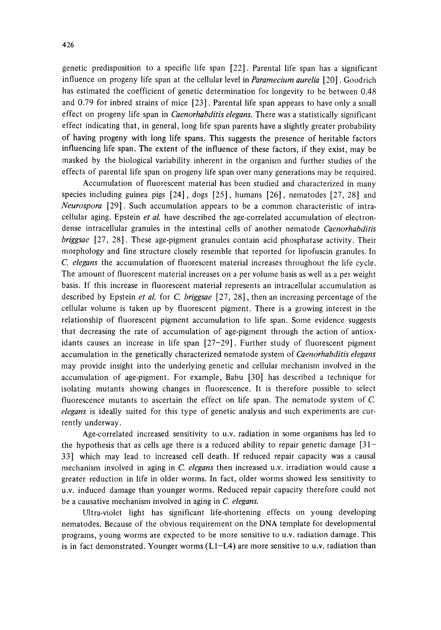genetic predisposition to a specific life span [22]. Parental life span has a significant influence on progeny life span at the cellular level in *Paramecium aurelia* [20]. Goodrich has estimated the coefficient of genetic determination for longevity to be between 0.48 and 0.79 for inbred strains of mice [23]. Parental life span appears to have only a small effect on progeny life span in *Caenorhabditis elegans.* There was a statistically significant effect indicating that, in general, long life span parents have a slightly greater probability of having progeny with long life spans. This suggests the presence of heritable factors influencing life span. The extent of the influence of these factors, if they exist, may be masked by the biological variability inherent in the organism and further studies of the effects of parental life span on progeny life span over many generations may be required.

Accumulation of fluorescent material has been studied and characterized in many species including guinea pigs [24], dogs [25], humans [26], nematodes [27, 28] and *Neurospora* [29]. Such accumulation appears to be a common characteristic of intracellular aging. Epstein *et al.* have described the age-correlated accumulation of electrondense intracellular granules in the intestinal cells of another nematode *Caenorhabditis briggsae* [27, 28]. These age-pigment granules contain acid phosphatase activity. Their morphology and fine structure closely resemble that reported for lipofuscin granules. In *C. elegans* the accumulation of fluorescent material increases throughout the life cycle. The amount of fluorescent material increases on a per volume basis as well as a per weight basis. If this increase in fluorescent material represents an intracellular accumulation as described by Epstein *et al.* for C. *briggsae* [27, 28], then an increasing percentage of the cellular volume is taken up by fluorescent pigment. There is a growing interest in the relationship of fluorescent pigment accumulation to life span. Some evidence suggests that decreasing the rate of accumulation of age-pigment through the action of antioxidants causes an increase in life span  $[27-29]$ . Further study of fluorescent pigment accumulation in the genetically characterized nematode system of *Caenorhabditis elegans*  may provide insight into the underlying genetic and cellular mechanism involved in the accumulation of age-pigment. For example, Babu [30] has described a technique for isolating mutants showing changes in fluorescence. It is therefore possible to select fluorescence mutants to ascertain the effect on life span. The nematode system of C. *elegans* is ideally suited for this type of genetic analysis and such experiments are currently underway.

Age-correlated increased sensitivity to u.v. radiation in some organisms has led to the hypothesis that as cells age there is a reduced ability to repair genetic damage  $[31-$ 33] which may lead to increased cell death. If reduced repair capacity was a causal mechanism involved in aging in C. *elegans* then increased u.v. irradiation would cause a greater reduction in life in older worms. In fact, older worms showed less sensitivity to u.v. induced damage than younger worms. Reduced repair capacity therefore could not be a causative mechanism involved in aging in C. *elegans.* 

Ultra-violet light has significant life-shortening effects on young developing nematodes. Because of the obvious requirement on the DNA template for developmental programs, young worms are expected to be more sensitive to u.v. radiation damage. This is in fact demonstrated. Younger worms (L1-L4) are more sensitive to u.v. radiation than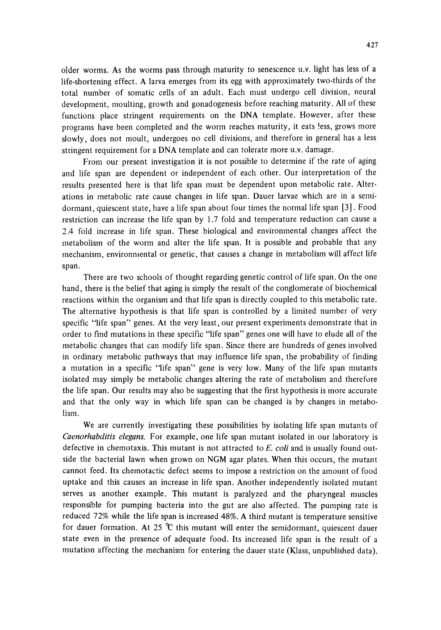older worms. As the worms pass through maturity to senescence u.v. light has less of a life-shortening effect. A larva emerges from its egg with approximately two-thirds of the total number of somatic cells of an adult. Each must undergo cell division, neural development, moulting, growth and gonadogenesis before reaching maturity. All of these functions place stringent requirements on the DNA template. However, after these programs have been completed and the worm reaches maturity, it eats !ess, grows more slowly, does not moult, undergoes no cell divisions, and therefore in general has a less stringent requirement for a DNA template and can tolerate more u.v. damage.

From our present investigation it is not possible to determine if the rate of aging and life span are dependent or independent of each other. Our interpretation of the results presented here is that life span must be dependent upon metabolic rate. Alterations in metabolic rate cause changes in life span. Dauer larvae which are in a semidormant, quiescent state, have a life span about four times the normal life span [3]. Food restriction can increase the life span by 1.7 fold and temperature reduction can cause a 2.4 fold increase in life span. These biological and environmental changes affect the metabolism of the worm and alter the life span. It is possible and probable that any mechanism, environmental or genetic, that causes a change in metabolism will affect life span.

There are two schools of thought regarding genetic control of life span. On the one hand, there is the belief that aging is simply the result of the conglomerate of biochemical reactions within the organism and that life span is directly coupled to this metabolic rate. The alternative hypothesis is that life span is controlled by a limited number of very specific "life span" genes. At the very least, our present experiments demonstrate that in order to find mutations in these specific "life span" genes one will have to elude all of the metabolic changes that can modify life span. Since there are hundreds of genes involved in ordinary metabolic pathways that may influence life span, the probability of finding a mutation in a specific "life span" gene is very low. Many of the life span mutants isolated may simply be metabolic changes altering the rate of metabolism and therefore the life span. Our results may also be suggesting that the first hypothesis is more accurate and that the only way in which life span can be changed is by changes in metabolism.

We are currently investigating these possibilities by isolating life span mutants of *Caenorhabditis elegans.* For example, one life span mutant isolated in our laboratory is defective in chemotaxis. This mutant is not attracted to *E. coli* and is usually found outside the bacterial lawn when grown on NGM agar plates. When this occurs, the mutant cannot feed. Its chemotactic defect seems to impose a restriction on the amount of food uptake and this causes an increase in life span. Another independently isolated mutant serves as another example. This mutant is paralyzed and the pharyngeal muscles responsible for pumping bacteria into the gut are also affected. The pumping rate is reduced 72% while the life span is increased 48%. A third mutant is temperature sensitive for dauer formation. At 25  $\degree$ C this mutant will enter the semidormant, quiescent dauer state even in the presence of adequate food. Its increased life span is the result of a mutation affecting the mechanism for entering the dauer state (Klass, unpublished data).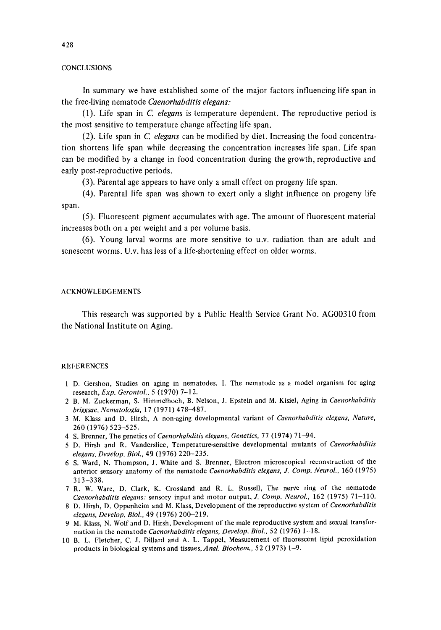### **CONCLUSIONS**

In summary we have established some of the major factors influencing life span in the free-living nematode *Caenorhabditis elegans:* 

(1). Life span in *C. elegans* is temperature dependent. The reproductive period is the most sensitive to temperature change affecting life span.

(2). Life span in *C. elegans* can be modified by diet. Increasing the food concentration shortens life span while decreasing the concentration increases life span. Life span can be modified by a change in food concentration during the growth, reproductive and early post-reproductive periods.

(3). Parental age appears to have only a small effect on progeny life span.

(4). Parental life span was shown to exert only a slight influence on progeny life span.

(5). Fluorescent pigment accumulates with age. The amount of fluorescent material increases both on a per weight and a per volume basis.

(6). Young larval worms are more sensitive to u.v. radiation than are adult and senescent worms. U.v. has less of a life-shortening effect on older worms.

### ACKNOWLEDGEMENTS

This research was supported by a Public Health Service Grant No. AG00310 from the National Institute on Aging.

### **REFERENCES**

- 1 D. Gershon, Studies on aging in nematodes. I. The nematode as a model organism for aging research, *Exp. Gerontol.*, 5 (1970) 7-12.
- 2 B. M. Zuckerman, S. Himmelhoch, B. Nelson, J. Epstein and M. Kisiel, Aging in *Caenorhabditis briggsae, Nematologia,* 17 (1971) 478-487.
- 3 M. Klass and D. Hirsh, A non-aging developmental variant of *Caenorhabditis elegans, Nature,*  260 (1976) 523-525.
- 4 S. Brenner, The genetics of *Caenorhabditis elegans, Genetics,* 77 (1974) 71-94.
- 5 D. Hirsh and R. Vanderslice, Temperature-sensitive developmental mutants of *Caenorhabditis elegans, Develop. Biol.,* 49 (1976) 220-235.
- 6 S. Ward, N. Thompson, J. White and S. Brenner, Electron microscopical reconstruction of the anterior sensory anatomy of the nematode *Caenorhabditis elegans, J. Comp. Neurol.,* 160 (1975) 313-338.
- 7 R. W. Ware, D. Clark, K. Crossland and R. L. Russell, The nerve ring of the nematode *Caenorhabditis elegans:* sensory input and motor output, J. *Cornp. Neurol.,* 162 (1975) 71-110.
- 8 D. Hirsh, D. Oppenheim and M. Klass, Development of the reproductive system of *Caenorhabditis elegans, Develop. Biol.,* 49 (1976) 200-219.
- 9 M. Klass, N. Wolf and D. Hirsh, Development of the male reproductive system and sexual transformation in the nematode *Caenorhabditis elegans, Develop. Biol.,* 52 (1976) 1-18.
- 10 B. L. Fletcher, C. J. Dillard and A. L. Tappel, Measurement of fluorescent lipid peroxidation products in biological systems and tissues, *Anal. Biochem.,* 52 (1973) 1-9.